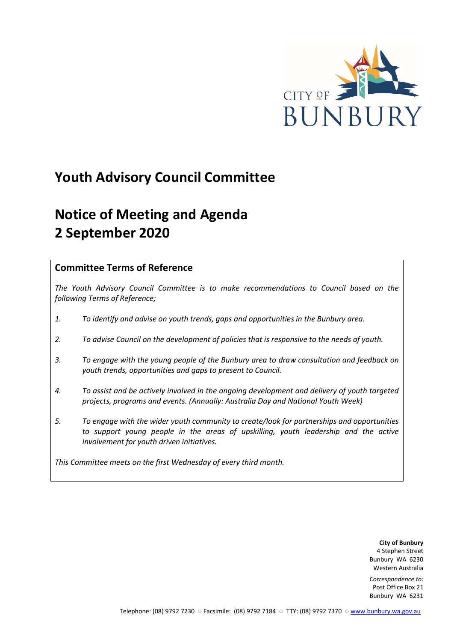

# **Youth Advisory Council Committee**

# **Notice of Meeting and Agenda 2 September 2020**

## **Committee Terms of Reference**

*The Youth Advisory Council Committee is to make recommendations to Council based on the following Terms of Reference;*

- *1. To identify and advise on youth trends, gaps and opportunities in the Bunbury area.*
- *2. To advise Council on the development of policies that is responsive to the needs of youth.*
- *3. To engage with the young people of the Bunbury area to draw consultation and feedback on youth trends, opportunities and gaps to present to Council.*
- *4. To assist and be actively involved in the ongoing development and delivery of youth targeted projects, programs and events. (Annually: Australia Day and National Youth Week)*
- *5. To engage with the wider youth community to create/look for partnerships and opportunities*  to support young people in the areas of upskilling, youth leadership and the active *involvement for youth driven initiatives.*

*This Committee meets on the first Wednesday of every third month.*

**City of Bunbury** 4 Stephen Street Bunbury WA 6230 Western Australia

*Correspondence to:* Post Office Box 21 Bunbury WA 6231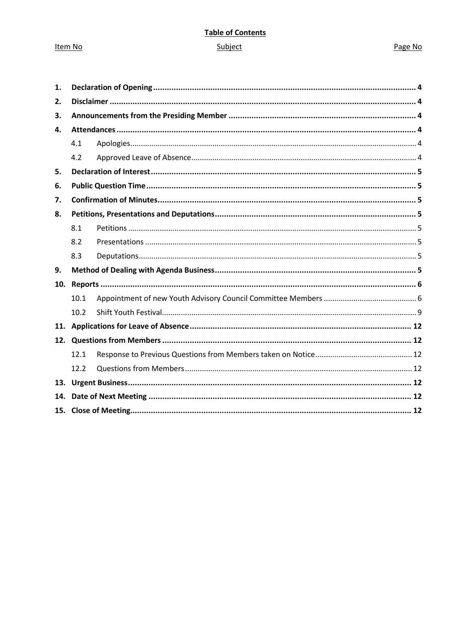Item No

## **Table of Contents** Subject

#### Page No

| 1.  |      |  |  |  |
|-----|------|--|--|--|
| 2.  |      |  |  |  |
| З.  |      |  |  |  |
| 4.  |      |  |  |  |
|     | 4.1  |  |  |  |
|     | 4.2  |  |  |  |
| 5.  |      |  |  |  |
| 6.  |      |  |  |  |
| 7.  |      |  |  |  |
| 8.  |      |  |  |  |
|     | 8.1  |  |  |  |
|     | 8.2  |  |  |  |
|     | 8.3  |  |  |  |
| 9.  |      |  |  |  |
| 10. |      |  |  |  |
|     | 10.1 |  |  |  |
|     | 10.2 |  |  |  |
|     |      |  |  |  |
|     |      |  |  |  |
|     | 12.1 |  |  |  |
|     | 12.2 |  |  |  |
| 13. |      |  |  |  |
| 14. |      |  |  |  |
|     |      |  |  |  |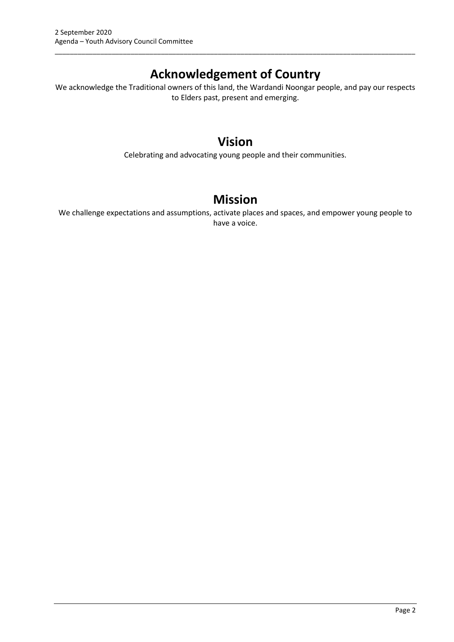## **Acknowledgement of Country**

\_\_\_\_\_\_\_\_\_\_\_\_\_\_\_\_\_\_\_\_\_\_\_\_\_\_\_\_\_\_\_\_\_\_\_\_\_\_\_\_\_\_\_\_\_\_\_\_\_\_\_\_\_\_\_\_\_\_\_\_\_\_\_\_\_\_\_\_\_\_\_\_\_\_\_\_\_\_\_\_\_\_\_\_\_\_\_\_\_\_\_\_\_\_\_

We acknowledge the Traditional owners of this land, the Wardandi Noongar people, and pay our respects to Elders past, present and emerging.

## **Vision**

Celebrating and advocating young people and their communities.

## **Mission**

We challenge expectations and assumptions, activate places and spaces, and empower young people to have a voice.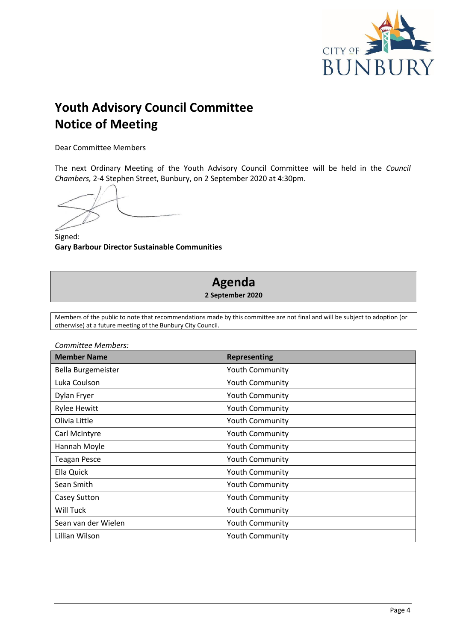

# **Youth Advisory Council Committee Notice of Meeting**

Dear Committee Members

The next Ordinary Meeting of the Youth Advisory Council Committee will be held in the *Council Chambers,* 2-4 Stephen Street, Bunbury, on 2 September 2020 at 4:30pm.

Signed: **Gary Barbour Director Sustainable Communities**

## **Agenda 2 September 2020**

Members of the public to note that recommendations made by this committee are not final and will be subject to adoption (or otherwise) at a future meeting of the Bunbury City Council.

| <b>Member Name</b>  | <b>Representing</b>    |
|---------------------|------------------------|
| Bella Burgemeister  | <b>Youth Community</b> |
| Luka Coulson        | <b>Youth Community</b> |
| Dylan Fryer         | <b>Youth Community</b> |
| <b>Rylee Hewitt</b> | <b>Youth Community</b> |
| Olivia Little       | <b>Youth Community</b> |
| Carl McIntyre       | <b>Youth Community</b> |
| Hannah Moyle        | <b>Youth Community</b> |
| <b>Teagan Pesce</b> | <b>Youth Community</b> |
| Ella Quick          | <b>Youth Community</b> |
| Sean Smith          | <b>Youth Community</b> |
| <b>Casey Sutton</b> | <b>Youth Community</b> |
| <b>Will Tuck</b>    | <b>Youth Community</b> |
| Sean van der Wielen | <b>Youth Community</b> |
| Lillian Wilson      | <b>Youth Community</b> |

*Committee Members:*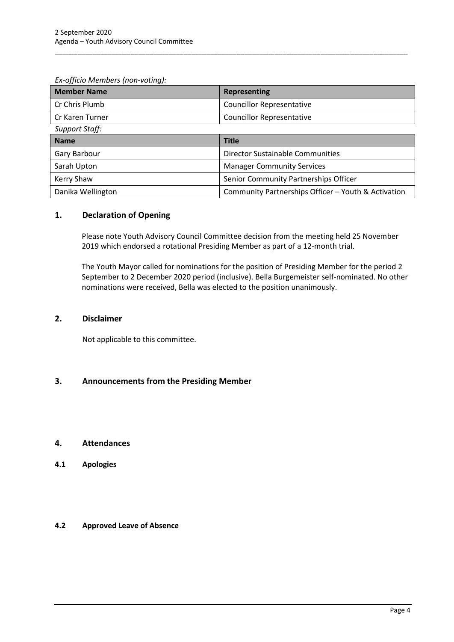| <b>Member Name</b>    | <b>Representing</b>                                 |
|-----------------------|-----------------------------------------------------|
| Cr Chris Plumb        | <b>Councillor Representative</b>                    |
| Cr Karen Turner       | <b>Councillor Representative</b>                    |
| <b>Support Staff:</b> |                                                     |
| <b>Name</b>           | <b>Title</b>                                        |
| Gary Barbour          | <b>Director Sustainable Communities</b>             |
| Sarah Upton           | <b>Manager Community Services</b>                   |
| Kerry Shaw            | Senior Community Partnerships Officer               |
| Danika Wellington     | Community Partnerships Officer - Youth & Activation |

\_\_\_\_\_\_\_\_\_\_\_\_\_\_\_\_\_\_\_\_\_\_\_\_\_\_\_\_\_\_\_\_\_\_\_\_\_\_\_\_\_\_\_\_\_\_\_\_\_\_\_\_\_\_\_\_\_\_\_\_\_\_\_\_\_\_\_\_\_\_\_\_\_\_\_\_\_\_\_\_\_\_\_\_\_\_\_\_\_\_\_\_\_

#### <span id="page-4-0"></span>**1. Declaration of Opening**

Please note Youth Advisory Council Committee decision from the meeting held 25 November 2019 which endorsed a rotational Presiding Member as part of a 12-month trial.

The Youth Mayor called for nominations for the position of Presiding Member for the period 2 September to 2 December 2020 period (inclusive). Bella Burgemeister self-nominated. No other nominations were received, Bella was elected to the position unanimously.

#### <span id="page-4-1"></span>**2. Disclaimer**

Not applicable to this committee.

#### <span id="page-4-2"></span>**3. Announcements from the Presiding Member**

#### <span id="page-4-3"></span>**4. Attendances**

<span id="page-4-4"></span>**4.1 Apologies**

#### <span id="page-4-5"></span>**4.2 Approved Leave of Absence**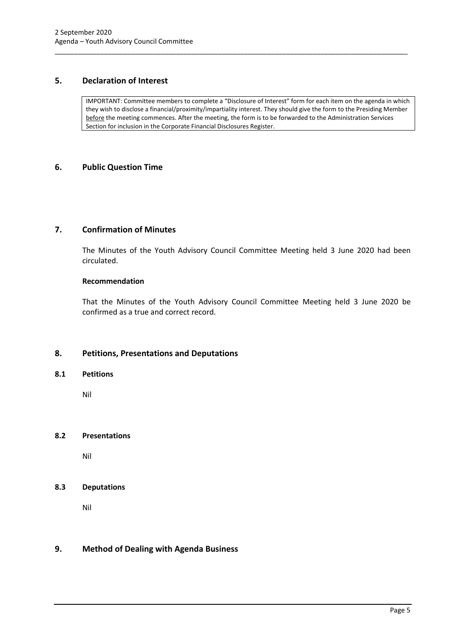#### <span id="page-5-0"></span>**5. Declaration of Interest**

IMPORTANT: Committee members to complete a "Disclosure of Interest" form for each item on the agenda in which they wish to disclose a financial/proximity/impartiality interest. They should give the form to the Presiding Member before the meeting commences. After the meeting, the form is to be forwarded to the Administration Services Section for inclusion in the Corporate Financial Disclosures Register.

\_\_\_\_\_\_\_\_\_\_\_\_\_\_\_\_\_\_\_\_\_\_\_\_\_\_\_\_\_\_\_\_\_\_\_\_\_\_\_\_\_\_\_\_\_\_\_\_\_\_\_\_\_\_\_\_\_\_\_\_\_\_\_\_\_\_\_\_\_\_\_\_\_\_\_\_\_\_\_\_\_\_\_\_\_\_\_\_\_\_\_\_\_

#### <span id="page-5-1"></span>**6. Public Question Time**

#### <span id="page-5-2"></span>**7. Confirmation of Minutes**

The Minutes of the Youth Advisory Council Committee Meeting held 3 June 2020 had been circulated.

#### **Recommendation**

That the Minutes of the Youth Advisory Council Committee Meeting held 3 June 2020 be confirmed as a true and correct record.

#### <span id="page-5-3"></span>**8. Petitions, Presentations and Deputations**

#### <span id="page-5-4"></span>**8.1 Petitions**

Nil

#### <span id="page-5-5"></span>**8.2 Presentations**

Nil

#### <span id="page-5-6"></span>**8.3 Deputations**

Nil

#### <span id="page-5-7"></span>**9. Method of Dealing with Agenda Business**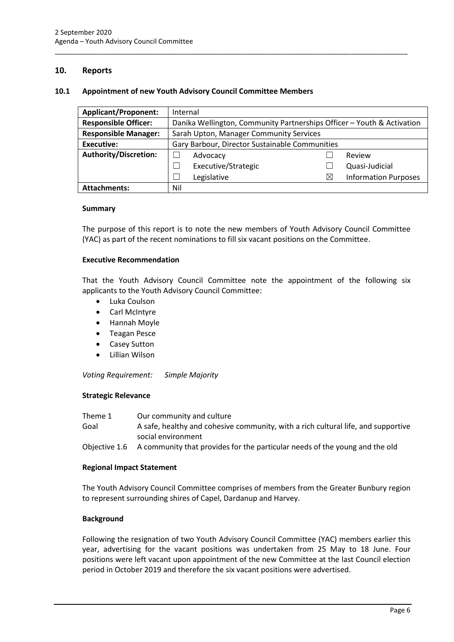#### <span id="page-6-0"></span>**10. Reports**

#### <span id="page-6-1"></span>**10.1 Appointment of new Youth Advisory Council Committee Members**

| <b>Applicant/Proponent:</b>  |                                                                        | Internal            |             |                             |
|------------------------------|------------------------------------------------------------------------|---------------------|-------------|-----------------------------|
| <b>Responsible Officer:</b>  | Danika Wellington, Community Partnerships Officer - Youth & Activation |                     |             |                             |
| <b>Responsible Manager:</b>  | Sarah Upton, Manager Community Services                                |                     |             |                             |
| Executive:                   | Gary Barbour, Director Sustainable Communities                         |                     |             |                             |
| <b>Authority/Discretion:</b> |                                                                        | Advocacy            |             | Review                      |
|                              |                                                                        | Executive/Strategic |             | Quasi-Judicial              |
|                              |                                                                        | Legislative         | $\boxtimes$ | <b>Information Purposes</b> |
| <b>Attachments:</b>          | Nil                                                                    |                     |             |                             |

\_\_\_\_\_\_\_\_\_\_\_\_\_\_\_\_\_\_\_\_\_\_\_\_\_\_\_\_\_\_\_\_\_\_\_\_\_\_\_\_\_\_\_\_\_\_\_\_\_\_\_\_\_\_\_\_\_\_\_\_\_\_\_\_\_\_\_\_\_\_\_\_\_\_\_\_\_\_\_\_\_\_\_\_\_\_\_\_\_\_\_\_\_

#### **Summary**

The purpose of this report is to note the new members of Youth Advisory Council Committee (YAC) as part of the recent nominations to fill six vacant positions on the Committee.

#### **Executive Recommendation**

That the Youth Advisory Council Committee note the appointment of the following six applicants to the Youth Advisory Council Committee:

- Luka Coulson
- Carl McIntyre
- Hannah Moyle
- Teagan Pesce
- Casey Sutton
- Lillian Wilson

*Voting Requirement: Simple Majority* 

#### **Strategic Relevance**

| Theme 1 | Our community and culture                                                         |
|---------|-----------------------------------------------------------------------------------|
| Goal    | A safe, healthy and cohesive community, with a rich cultural life, and supportive |

- social environment
- Objective 1.6 A community that provides for the particular needs of the young and the old

#### **Regional Impact Statement**

The Youth Advisory Council Committee comprises of members from the Greater Bunbury region to represent surrounding shires of Capel, Dardanup and Harvey.

#### **Background**

Following the resignation of two Youth Advisory Council Committee (YAC) members earlier this year, advertising for the vacant positions was undertaken from 25 May to 18 June. Four positions were left vacant upon appointment of the new Committee at the last Council election period in October 2019 and therefore the six vacant positions were advertised.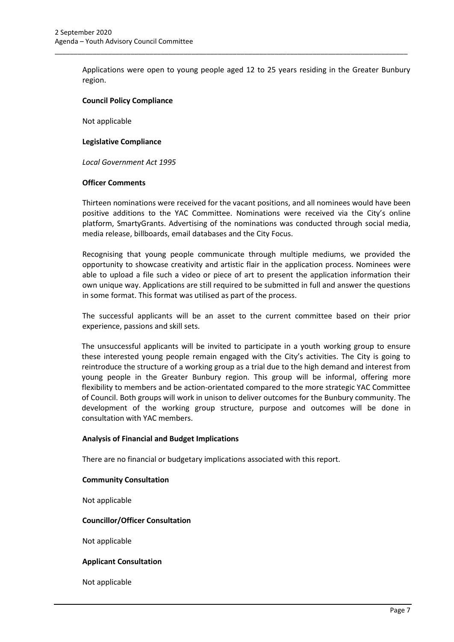Applications were open to young people aged 12 to 25 years residing in the Greater Bunbury region.

\_\_\_\_\_\_\_\_\_\_\_\_\_\_\_\_\_\_\_\_\_\_\_\_\_\_\_\_\_\_\_\_\_\_\_\_\_\_\_\_\_\_\_\_\_\_\_\_\_\_\_\_\_\_\_\_\_\_\_\_\_\_\_\_\_\_\_\_\_\_\_\_\_\_\_\_\_\_\_\_\_\_\_\_\_\_\_\_\_\_\_\_\_

#### **Council Policy Compliance**

Not applicable

#### **Legislative Compliance**

*Local Government Act 1995*

#### **Officer Comments**

Thirteen nominations were received for the vacant positions, and all nominees would have been positive additions to the YAC Committee. Nominations were received via the City's online platform, SmartyGrants. Advertising of the nominations was conducted through social media, media release, billboards, email databases and the City Focus.

Recognising that young people communicate through multiple mediums, we provided the opportunity to showcase creativity and artistic flair in the application process. Nominees were able to upload a file such a video or piece of art to present the application information their own unique way. Applications are still required to be submitted in full and answer the questions in some format. This format was utilised as part of the process.

The successful applicants will be an asset to the current committee based on their prior experience, passions and skill sets.

The unsuccessful applicants will be invited to participate in a youth working group to ensure these interested young people remain engaged with the City's activities. The City is going to reintroduce the structure of a working group as a trial due to the high demand and interest from young people in the Greater Bunbury region. This group will be informal, offering more flexibility to members and be action-orientated compared to the more strategic YAC Committee of Council. Both groups will work in unison to deliver outcomes for the Bunbury community. The development of the working group structure, purpose and outcomes will be done in consultation with YAC members.

#### **Analysis of Financial and Budget Implications**

There are no financial or budgetary implications associated with this report.

#### **Community Consultation**

Not applicable

#### **Councillor/Officer Consultation**

Not applicable

#### **Applicant Consultation**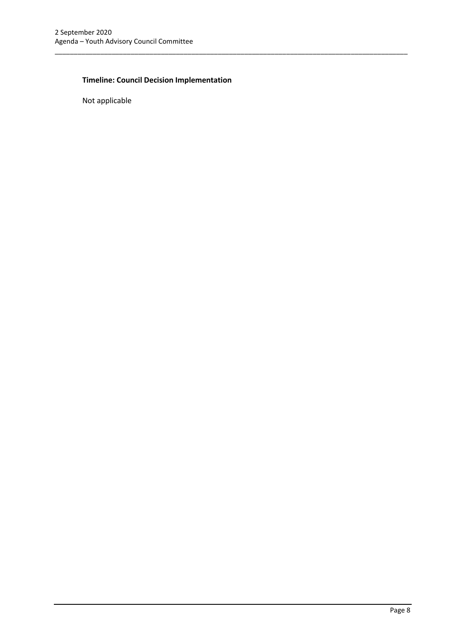## **Timeline: Council Decision Implementation**

\_\_\_\_\_\_\_\_\_\_\_\_\_\_\_\_\_\_\_\_\_\_\_\_\_\_\_\_\_\_\_\_\_\_\_\_\_\_\_\_\_\_\_\_\_\_\_\_\_\_\_\_\_\_\_\_\_\_\_\_\_\_\_\_\_\_\_\_\_\_\_\_\_\_\_\_\_\_\_\_\_\_\_\_\_\_\_\_\_\_\_\_\_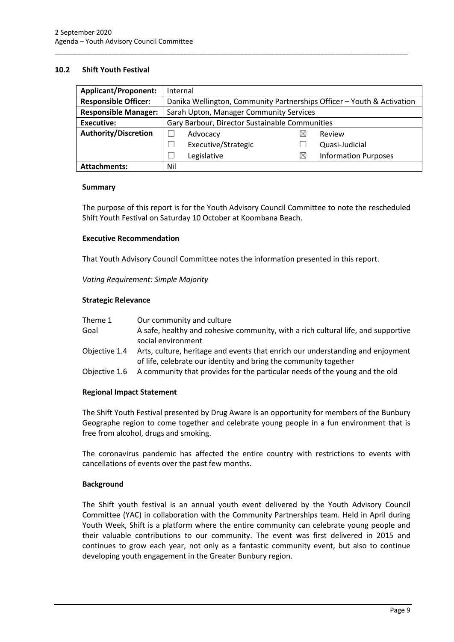#### <span id="page-9-0"></span>**10.2 Shift Youth Festival**

| <b>Applicant/Proponent:</b> | Internal                                                               |                     |    |                             |
|-----------------------------|------------------------------------------------------------------------|---------------------|----|-----------------------------|
| <b>Responsible Officer:</b> | Danika Wellington, Community Partnerships Officer - Youth & Activation |                     |    |                             |
| <b>Responsible Manager:</b> | Sarah Upton, Manager Community Services                                |                     |    |                             |
| <b>Executive:</b>           | Gary Barbour, Director Sustainable Communities                         |                     |    |                             |
| <b>Authority/Discretion</b> |                                                                        | Advocacy            |    | Review                      |
|                             |                                                                        | Executive/Strategic |    | Quasi-Judicial              |
|                             |                                                                        | Legislative         | IX | <b>Information Purposes</b> |
| <b>Attachments:</b>         | Nil                                                                    |                     |    |                             |

\_\_\_\_\_\_\_\_\_\_\_\_\_\_\_\_\_\_\_\_\_\_\_\_\_\_\_\_\_\_\_\_\_\_\_\_\_\_\_\_\_\_\_\_\_\_\_\_\_\_\_\_\_\_\_\_\_\_\_\_\_\_\_\_\_\_\_\_\_\_\_\_\_\_\_\_\_\_\_\_\_\_\_\_\_\_\_\_\_\_\_\_\_

#### **Summary**

The purpose of this report is for the Youth Advisory Council Committee to note the rescheduled Shift Youth Festival on Saturday 10 October at Koombana Beach.

#### **Executive Recommendation**

That Youth Advisory Council Committee notes the information presented in this report.

*Voting Requirement: Simple Majority* 

#### **Strategic Relevance**

| Theme 1       | Our community and culture                                                                                                                       |
|---------------|-------------------------------------------------------------------------------------------------------------------------------------------------|
| Goal          | A safe, healthy and cohesive community, with a rich cultural life, and supportive<br>social environment                                         |
| Obiective 1.4 | Arts, culture, heritage and events that enrich our understanding and enjoyment                                                                  |
| Objective 1.6 | of life, celebrate our identity and bring the community together<br>A community that provides for the particular needs of the young and the old |
|               |                                                                                                                                                 |

#### **Regional Impact Statement**

The Shift Youth Festival presented by Drug Aware is an opportunity for members of the Bunbury Geographe region to come together and celebrate young people in a fun environment that is free from alcohol, drugs and smoking.

The coronavirus pandemic has affected the entire country with restrictions to events with cancellations of events over the past few months.

#### **Background**

The Shift youth festival is an annual youth event delivered by the Youth Advisory Council Committee (YAC) in collaboration with the Community Partnerships team. Held in April during Youth Week, Shift is a platform where the entire community can celebrate young people and their valuable contributions to our community. The event was first delivered in 2015 and continues to grow each year, not only as a fantastic community event, but also to continue developing youth engagement in the Greater Bunbury region.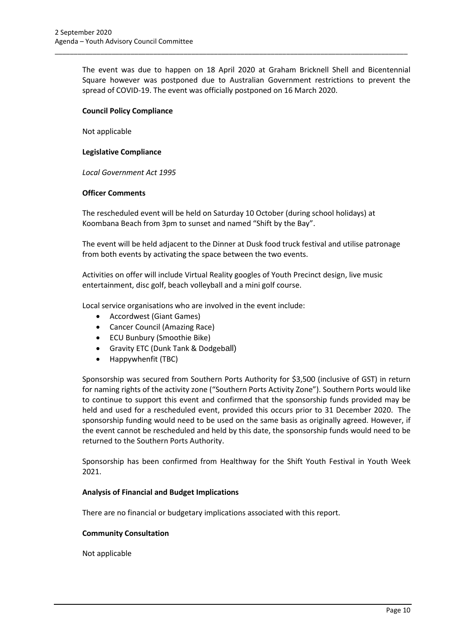The event was due to happen on 18 April 2020 at Graham Bricknell Shell and Bicentennial Square however was postponed due to Australian Government restrictions to prevent the spread of COVID-19. The event was officially postponed on 16 March 2020.

\_\_\_\_\_\_\_\_\_\_\_\_\_\_\_\_\_\_\_\_\_\_\_\_\_\_\_\_\_\_\_\_\_\_\_\_\_\_\_\_\_\_\_\_\_\_\_\_\_\_\_\_\_\_\_\_\_\_\_\_\_\_\_\_\_\_\_\_\_\_\_\_\_\_\_\_\_\_\_\_\_\_\_\_\_\_\_\_\_\_\_\_\_

#### **Council Policy Compliance**

Not applicable

#### **Legislative Compliance**

*Local Government Act 1995*

#### **Officer Comments**

The rescheduled event will be held on Saturday 10 October (during school holidays) at Koombana Beach from 3pm to sunset and named "Shift by the Bay".

The event will be held adjacent to the Dinner at Dusk food truck festival and utilise patronage from both events by activating the space between the two events.

Activities on offer will include Virtual Reality googles of Youth Precinct design, live music entertainment, disc golf, beach volleyball and a mini golf course.

Local service organisations who are involved in the event include:

- Accordwest (Giant Games)
- Cancer Council (Amazing Race)
- ECU Bunbury (Smoothie Bike)
- Gravity ETC (Dunk Tank & Dodgeball)
- Happywhenfit (TBC)

Sponsorship was secured from Southern Ports Authority for \$3,500 (inclusive of GST) in return for naming rights of the activity zone ("Southern Ports Activity Zone"). Southern Ports would like to continue to support this event and confirmed that the sponsorship funds provided may be held and used for a rescheduled event, provided this occurs prior to 31 December 2020. The sponsorship funding would need to be used on the same basis as originally agreed. However, if the event cannot be rescheduled and held by this date, the sponsorship funds would need to be returned to the Southern Ports Authority.

Sponsorship has been confirmed from Healthway for the Shift Youth Festival in Youth Week 2021.

#### **Analysis of Financial and Budget Implications**

There are no financial or budgetary implications associated with this report.

#### **Community Consultation**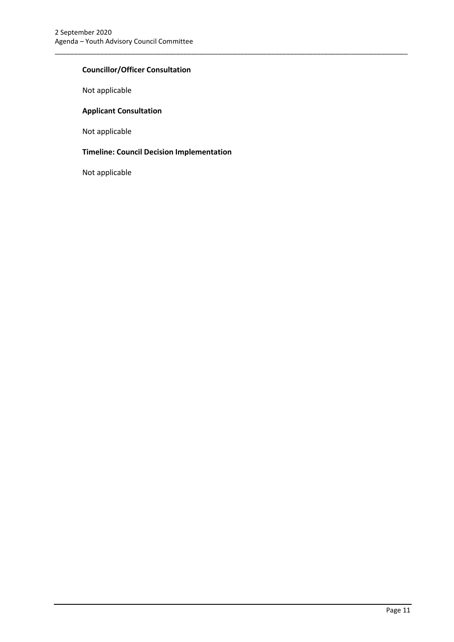#### **Councillor/Officer Consultation**

Not applicable

#### **Applicant Consultation**

Not applicable

## **Timeline: Council Decision Implementation**

\_\_\_\_\_\_\_\_\_\_\_\_\_\_\_\_\_\_\_\_\_\_\_\_\_\_\_\_\_\_\_\_\_\_\_\_\_\_\_\_\_\_\_\_\_\_\_\_\_\_\_\_\_\_\_\_\_\_\_\_\_\_\_\_\_\_\_\_\_\_\_\_\_\_\_\_\_\_\_\_\_\_\_\_\_\_\_\_\_\_\_\_\_